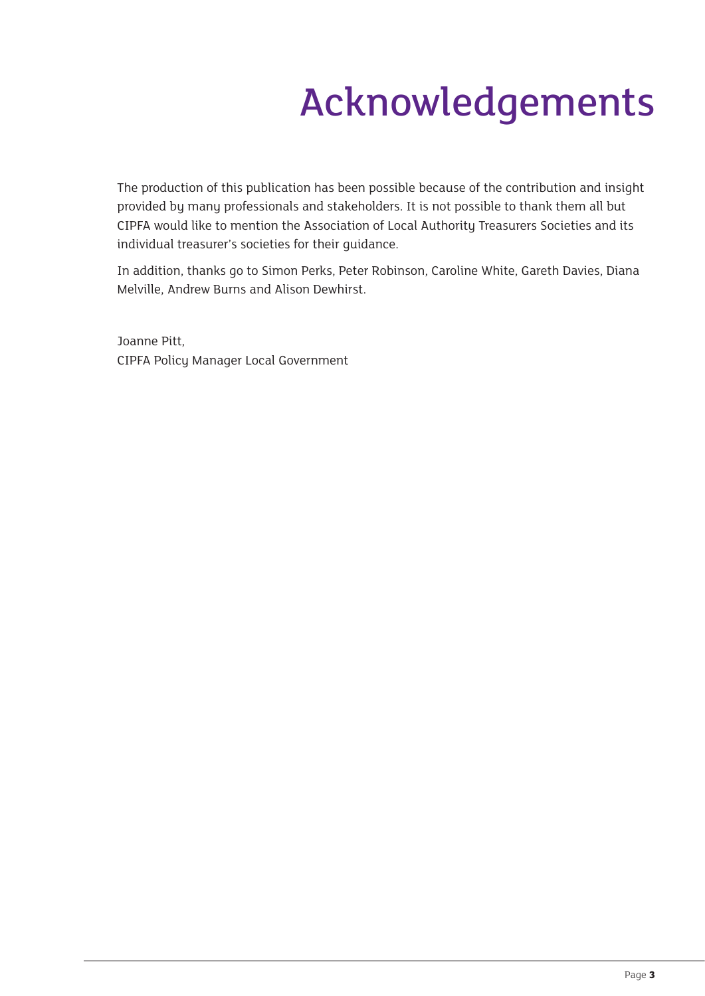## Acknowledgements

The production of this publication has been possible because of the contribution and insight provided by many professionals and stakeholders. It is not possible to thank them all but CIPFA would like to mention the Association of Local Authority Treasurers Societies and its individual treasurer's societies for their guidance.

In addition, thanks go to Simon Perks, Peter Robinson, Caroline White, Gareth Davies, Diana Melville, Andrew Burns and Alison Dewhirst.

Joanne Pitt, CIPFA Policy Manager Local Government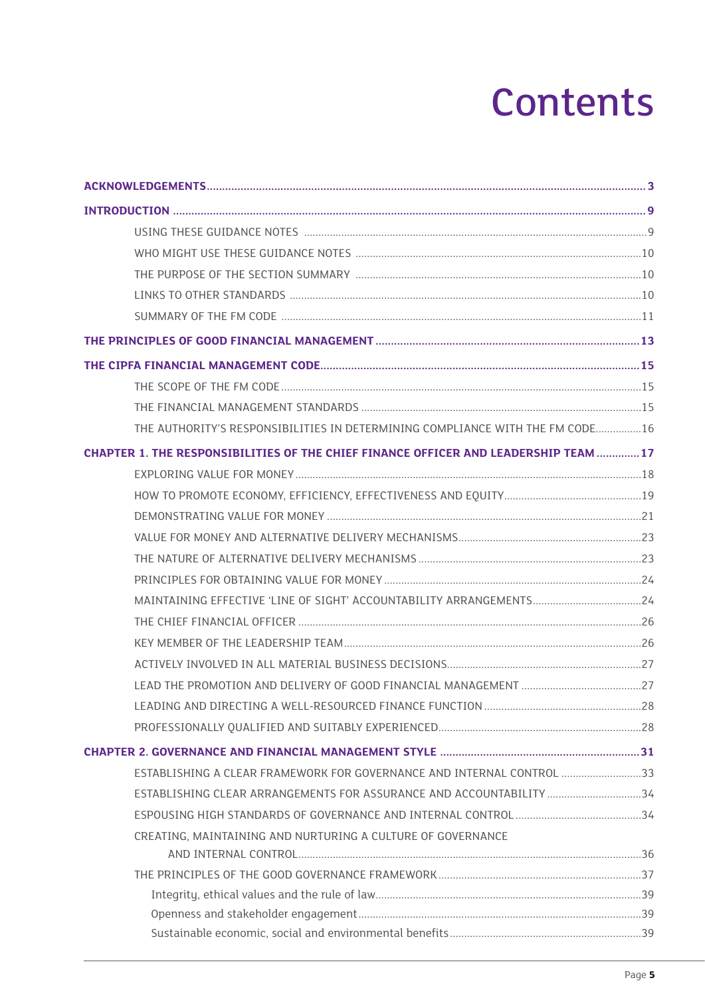## **Contents**

| THE AUTHORITY'S RESPONSIBILITIES IN DETERMINING COMPLIANCE WITH THE FM CODE16       |  |
|-------------------------------------------------------------------------------------|--|
| CHAPTER 1. THE RESPONSIBILITIES OF THE CHIEF FINANCE OFFICER AND LEADERSHIP TEAM 17 |  |
|                                                                                     |  |
|                                                                                     |  |
|                                                                                     |  |
|                                                                                     |  |
|                                                                                     |  |
|                                                                                     |  |
| MAINTAINING EFFECTIVE 'LINE OF SIGHT' ACCOUNTABILITY ARRANGEMENTS24                 |  |
|                                                                                     |  |
|                                                                                     |  |
|                                                                                     |  |
|                                                                                     |  |
|                                                                                     |  |
|                                                                                     |  |
|                                                                                     |  |
| ESTABLISHING A CLEAR FRAMEWORK FOR GOVERNANCE AND INTERNAL CONTROL 33               |  |
| ESTABLISHING CLEAR ARRANGEMENTS FOR ASSURANCE AND ACCOUNTABILITY  34                |  |
|                                                                                     |  |
| CREATING, MAINTAINING AND NURTURING A CULTURE OF GOVERNANCE                         |  |
|                                                                                     |  |
|                                                                                     |  |
|                                                                                     |  |
|                                                                                     |  |
|                                                                                     |  |